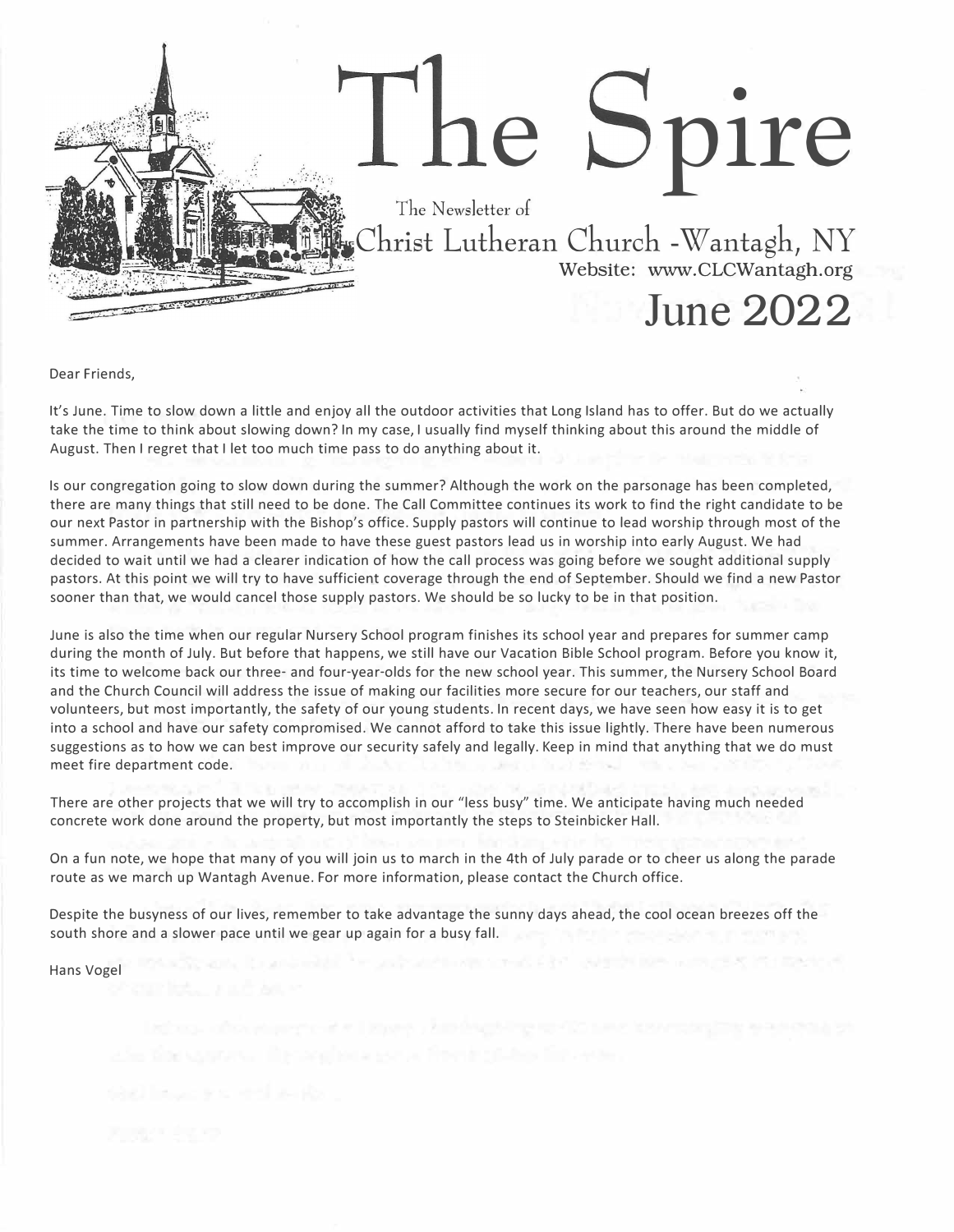

Dear Friends,

It's June. Time to slow down a little and enjoy all the outdoor activities that Long Island has to offer. But do we actually take the time to think about slowing down? In my case, I usually find myself thinking about this around the middle of August. Then I regret that I let too much time pass to do anything about it.

Is our congregation going to slow down during the summer? Although the work on the parsonage has been completed, there are many things that still need to be done. The Call Committee continues its work to find the right candidate to be our next Pastor in partnership with the Bishop's office. Supply pastors will continue to lead worship through most of the summer. Arrangements have been made to have these guest pastors lead us in worship into early August. We had decided to wait until we had a clearer indication of how the call process was going before we sought additional supply pastors. At this point we will try to have sufficient coverage through the end of September. Should we find a new Pastor sooner than that, we would cancel those supply pastors. We should be so lucky to be in that position.

June is also the time when our regular Nursery School program finishes its school year and prepares for summer camp during the month of July. But before that happens, we still have our Vacation Bible School program. Before you know it, its time to welcome back our three- and four-year-olds for the new school year. This summer, the Nursery School Board and the Church Council will address the issue of making our facilities more secure for our teachers, our staff and volunteers, but most importantly, the safety of our young students. In recent days, we have seen how easy it is to get into a school and have our safety compromised. We cannot afford to take this issue lightly. There have been numerous suggestions as to how we can best improve our security safely and legally. Keep in mind that anything that we do must meet fire department code.

There are other projects that we will try to accomplish in our "less busy" time. We anticipate having much needed concrete work done around the property, but most importantly the steps to Steinbicker Hall.

On a fun note, we hope that many of you will join us to march in the 4th of July parade or to cheer us along the parade route as we march up Wantagh Avenue. For more information, please contact the Church office.

Despite the busyness of our lives, remember to take advantage the sunny days ahead, the cool ocean breezes off the south shore and a slower pace until we gear up again for a busy fall.

Hans Vogel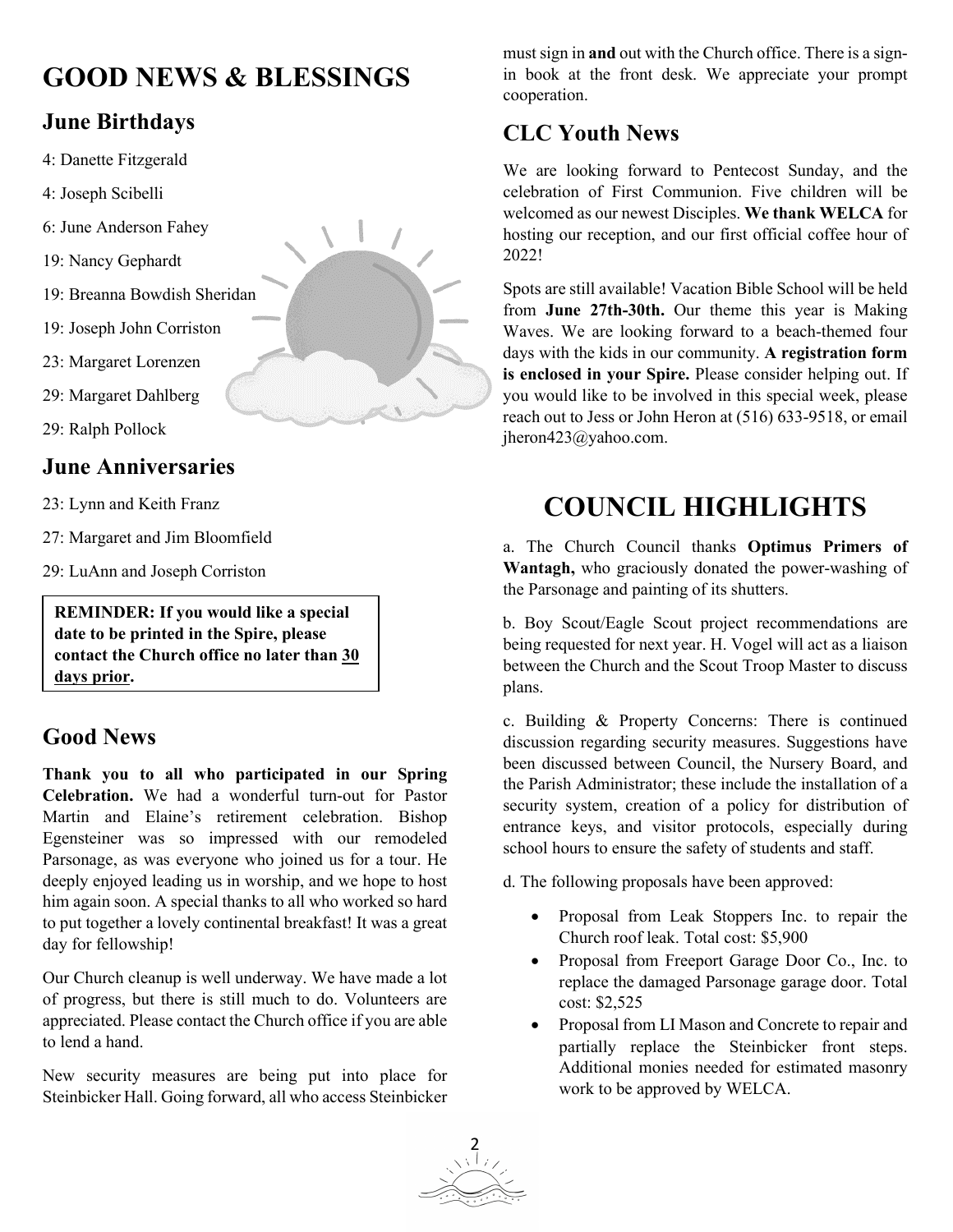# **GOOD NEWS & BLESSINGS**

## **June Birthdays**

- 4: Danette Fitzgerald
- 4: Joseph Scibelli
- 6: June Anderson Fahey
- 19: Nancy Gephardt
- 19: Breanna Bowdish Sheridan
- 19: Joseph John Corriston
- 23: Margaret Lorenzen
- 29: Margaret Dahlberg
- 29: Ralph Pollock

#### **June Anniversaries**

- 23: Lynn and Keith Franz
- 27: Margaret and Jim Bloomfield
- 29: LuAnn and Joseph Corriston

**REMINDER: If you would like a special date to be printed in the Spire, please contact the Church office no later than 30 days prior.**

### **Good News**

**Thank you to all who participated in our Spring Celebration.** We had a wonderful turn-out for Pastor Martin and Elaine's retirement celebration. Bishop Egensteiner was so impressed with our remodeled Parsonage, as was everyone who joined us for a tour. He deeply enjoyed leading us in worship, and we hope to host him again soon. A special thanks to all who worked so hard to put together a lovely continental breakfast! It was a great day for fellowship!

Our Church cleanup is well underway. We have made a lot of progress, but there is still much to do. Volunteers are appreciated. Please contact the Church office if you are able to lend a hand.

New security measures are being put into place for Steinbicker Hall. Going forward, all who access Steinbicker must sign in **and** out with the Church office. There is a signin book at the front desk. We appreciate your prompt cooperation.

### **CLC Youth News**

We are looking forward to Pentecost Sunday, and the celebration of First Communion. Five children will be welcomed as our newest Disciples. **We thank WELCA** for hosting our reception, and our first official coffee hour of 2022!

Spots are still available! Vacation Bible School will be held from **June 27th-30th.** Our theme this year is Making Waves. We are looking forward to a beach-themed four days with the kids in our community. **A registration form is enclosed in your Spire.** Please consider helping out. If you would like to be involved in this special week, please reach out to Jess or John Heron at (516) 633-9518, or email jheron423@yahoo.com.

# **COUNCIL HIGHLIGHTS**

a. The Church Council thanks **Optimus Primers of Wantagh,** who graciously donated the power-washing of the Parsonage and painting of its shutters.

 between the Church and the Scout Troop Master to discuss b. Boy Scout/Eagle Scout project recommendations are being requested for next year. H. Vogel will act as a liaison plans.

c. Building & Property Concerns: There is continued discussion regarding security measures. Suggestions have been discussed between Council, the Nursery Board, and the Parish Administrator; these include the installation of a security system, creation of a policy for distribution of entrance keys, and visitor protocols, especially during school hours to ensure the safety of students and staff.

d. The following proposals have been approved:

- Proposal from Leak Stoppers Inc. to repair the Church roof leak. Total cost: \$5,900
- Proposal from Freeport Garage Door Co., Inc. to replace the damaged Parsonage garage door. Total cost: \$2,525
- Proposal from LI Mason and Concrete to repair and partially replace the Steinbicker front steps. Additional monies needed for estimated masonry work to be approved by WELCA.

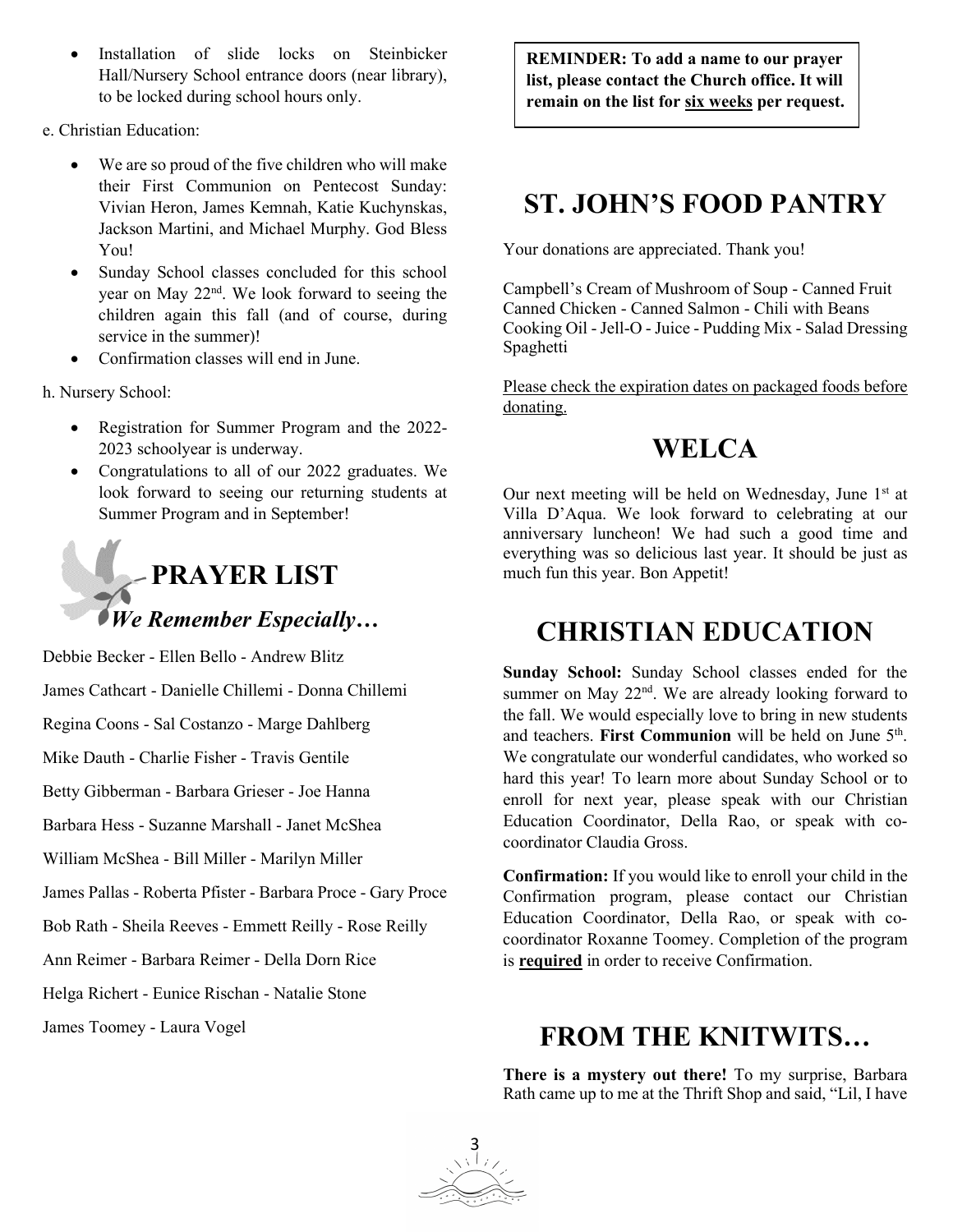- Installation of slide locks on Steinbicker Hall/Nursery School entrance doors (near library), to be locked during school hours only.
- e. Christian Education:
	- We are so proud of the five children who will make their First Communion on Pentecost Sunday: Vivian Heron, James Kemnah, Katie Kuchynskas, Jackson Martini, and Michael Murphy. God Bless You!
	- Sunday School classes concluded for this school year on May 22nd. We look forward to seeing the children again this fall (and of course, during service in the summer)!
	- Confirmation classes will end in June.

h. Nursery School:

- Registration for Summer Program and the 2022- 2023 schoolyear is underway.
- Congratulations to all of our 2022 graduates. We look forward to seeing our returning students at Summer Program and in September!



Debbie Becker - Ellen Bello - Andrew Blitz James Cathcart - Danielle Chillemi - Donna Chillemi Regina Coons - Sal Costanzo - Marge Dahlberg Mike Dauth - Charlie Fisher - Travis Gentile Betty Gibberman - Barbara Grieser - Joe Hanna Barbara Hess - Suzanne Marshall - Janet McShea William McShea - Bill Miller - Marilyn Miller James Pallas - Roberta Pfister - Barbara Proce - Gary Proce Bob Rath - Sheila Reeves - Emmett Reilly - Rose Reilly Ann Reimer - Barbara Reimer - Della Dorn Rice Helga Richert - Eunice Rischan - Natalie Stone

James Toomey - Laura Vogel

**REMINDER: To add a name to our prayer list, please contact the Church office. It will remain on the list for six weeks per request.**

## **ST. JOHN'S FOOD PANTRY**

Your donations are appreciated. Thank you!

Campbell's Cream of Mushroom of Soup - Canned Fruit Canned Chicken - Canned Salmon - Chili with Beans Cooking Oil - Jell-O - Juice - Pudding Mix - Salad Dressing Spaghetti

Please check the expiration dates on packaged foods before donating.

## **WELCA**

Our next meeting will be held on Wednesday, June  $1<sup>st</sup>$  at Villa D'Aqua. We look forward to celebrating at our anniversary luncheon! We had such a good time and everything was so delicious last year. It should be just as much fun this year. Bon Appetit!

## **CHRISTIAN EDUCATION**

**Sunday School:** Sunday School classes ended for the summer on May  $22<sup>nd</sup>$ . We are already looking forward to the fall. We would especially love to bring in new students and teachers. First Communion will be held on June 5<sup>th</sup>. We congratulate our wonderful candidates, who worked so hard this year! To learn more about Sunday School or to enroll for next year, please speak with our Christian Education Coordinator, Della Rao, or speak with cocoordinator Claudia Gross.

**Confirmation:** If you would like to enroll your child in the Confirmation program, please contact our Christian Education Coordinator, Della Rao, or speak with cocoordinator Roxanne Toomey. Completion of the program is **required** in order to receive Confirmation.

## **FROM THE KNITWITS…**

**There is a mystery out there!** To my surprise, Barbara Rath came up to me at the Thrift Shop and said, "Lil, I have

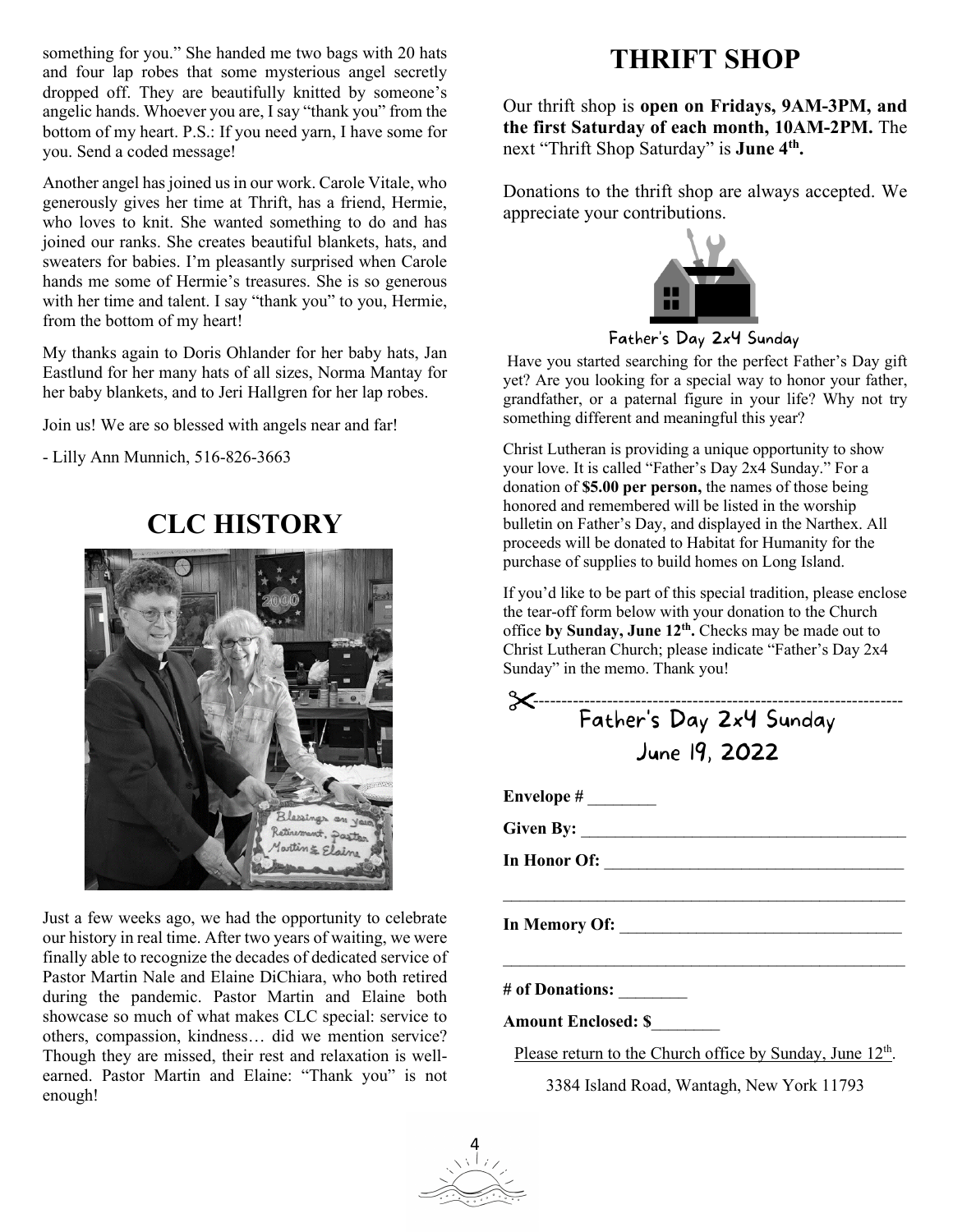something for you." She handed me two bags with 20 hats and four lap robes that some mysterious angel secretly dropped off. They are beautifully knitted by someone's angelic hands. Whoever you are, I say "thank you" from the bottom of my heart. P.S.: If you need yarn, I have some for you. Send a coded message!

Another angel has joined us in our work. Carole Vitale, who generously gives her time at Thrift, has a friend, Hermie, who loves to knit. She wanted something to do and has joined our ranks. She creates beautiful blankets, hats, and sweaters for babies. I'm pleasantly surprised when Carole hands me some of Hermie's treasures. She is so generous with her time and talent. I say "thank you" to you, Hermie, from the bottom of my heart!

My thanks again to Doris Ohlander for her baby hats, Jan Eastlund for her many hats of all sizes, Norma Mantay for her baby blankets, and to Jeri Hallgren for her lap robes.

Join us! We are so blessed with angels near and far!

- Lilly Ann Munnich, 516-826-3663

## **CLC HISTORY**



Just a few weeks ago, we had the opportunity to celebrate our history in real time. After two years of waiting, we were finally able to recognize the decades of dedicated service of Pastor Martin Nale and Elaine DiChiara, who both retired during the pandemic. Pastor Martin and Elaine both showcase so much of what makes CLC special: service to others, compassion, kindness… did we mention service? Though they are missed, their rest and relaxation is wellearned. Pastor Martin and Elaine: "Thank you" is not enough!

## **THRIFT SHOP**

Our thrift shop is **open on Fridays, 9AM-3PM, and the first Saturday of each month, 10AM-2PM.** The next "Thrift Shop Saturday" is **June 4th.** 

Donations to the thrift shop are always accepted. We appreciate your contributions.



Father's Day 2x4 Sunday

Have you started searching for the perfect Father's Day gift yet? Are you looking for a special way to honor your father, grandfather, or a paternal figure in your life? Why not try something different and meaningful this year?

Christ Lutheran is providing a unique opportunity to show your love. It is called "Father's Day 2x4 Sunday." For a donation of **\$5.00 per person,** the names of those being honored and remembered will be listed in the worship bulletin on Father's Day, and displayed in the Narthex. All proceeds will be donated to Habitat for Humanity for the purchase of supplies to build homes on Long Island.

If you'd like to be part of this special tradition, please enclose the tear-off form below with your donation to the Church office **by Sunday, June 12th.** Checks may be made out to Christ Lutheran Church; please indicate "Father's Day 2x4 Sunday" in the memo. Thank you!

 ----------------------------------------------------------------- June 19, 2022 **Envelope #** \_\_\_\_\_\_\_\_ **Given By:** \_\_\_\_\_\_\_\_\_\_\_\_\_\_\_\_\_\_\_\_\_\_\_\_\_\_\_\_\_\_\_\_\_\_\_\_\_\_ **In Honor Of:** \_\_\_\_\_\_\_\_\_\_\_\_\_\_\_\_\_\_\_\_\_\_\_\_\_\_\_\_\_\_\_\_\_\_\_  $\mathcal{L}_\text{max}$  , and the contract of the contract of the contract of the contract of the contract of the contract of the contract of the contract of the contract of the contract of the contract of the contract of the contr **In Memory Of:** \_\_\_\_\_\_\_\_\_\_\_\_\_\_\_\_\_\_\_\_\_\_\_\_\_\_\_\_\_\_\_\_\_  $\mathcal{L}_\text{max}$  , and the contract of the contract of the contract of the contract of the contract of the contract of the contract of the contract of the contract of the contract of the contract of the contract of the contr

**# of Donations:** \_\_\_\_\_\_\_\_

**Amount Enclosed: \$**\_\_\_\_\_\_\_\_

Please return to the Church office by Sunday, June 12<sup>th</sup>.

3384 Island Road, Wantagh, New York 11793

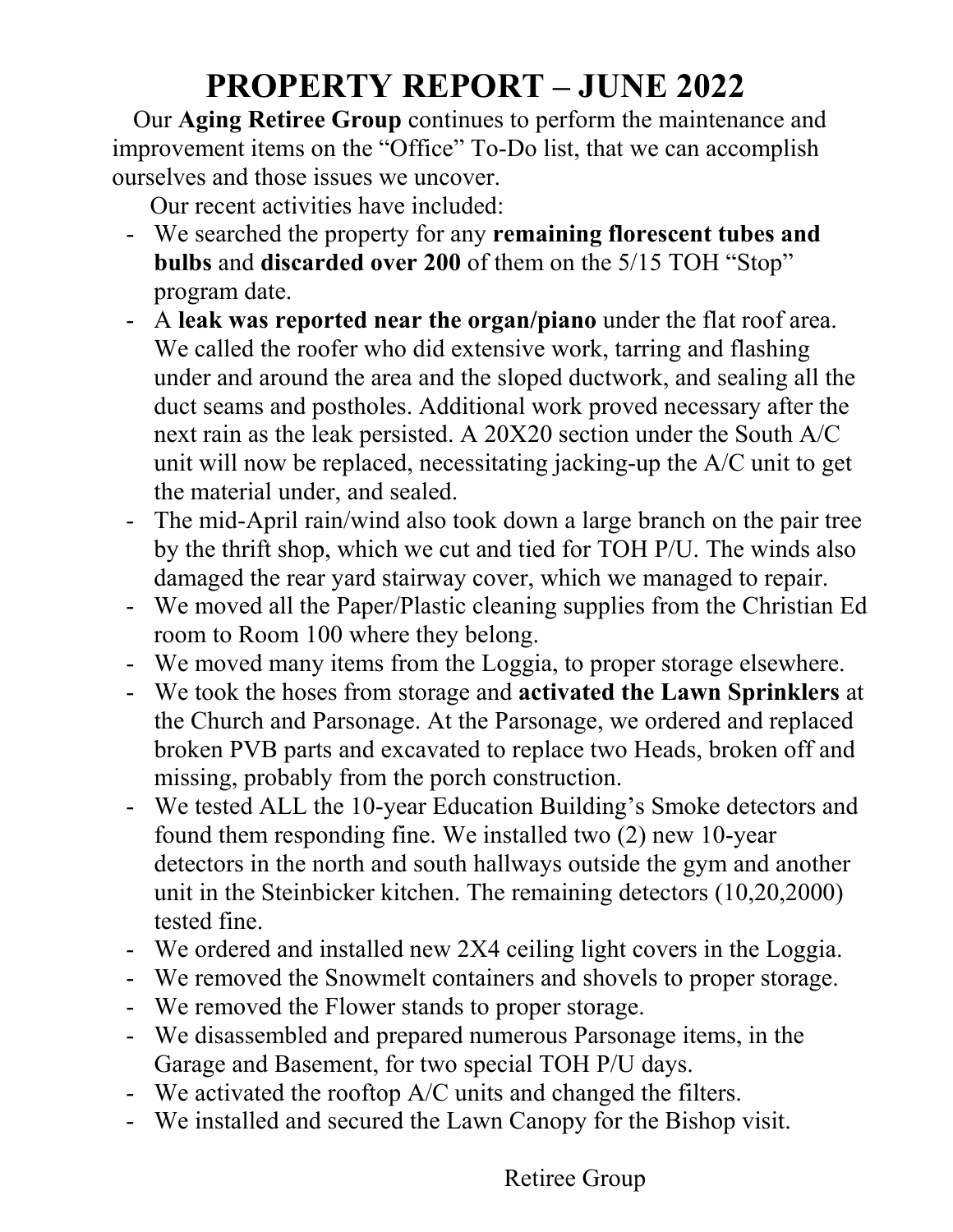# **PROPERTY REPORT – JUNE 2022**

Our **Aging Retiree Group** continues to perform the maintenance and improvement items on the "Office" To-Do list, that we can accomplish ourselves and those issues we uncover.

Our recent activities have included:

- We searched the property for any **remaining florescent tubes and bulbs** and **discarded over 200** of them on the 5/15 TOH "Stop" program date.
- A **leak was reported near the organ/piano** under the flat roof area. We called the roofer who did extensive work, tarring and flashing under and around the area and the sloped ductwork, and sealing all the duct seams and postholes. Additional work proved necessary after the next rain as the leak persisted. A 20X20 section under the South A/C unit will now be replaced, necessitating jacking-up the A/C unit to get the material under, and sealed.
- The mid-April rain/wind also took down a large branch on the pair tree by the thrift shop, which we cut and tied for TOH P/U. The winds also damaged the rear yard stairway cover, which we managed to repair.
- We moved all the Paper/Plastic cleaning supplies from the Christian Ed room to Room 100 where they belong.
- We moved many items from the Loggia, to proper storage elsewhere.
- We took the hoses from storage and **activated the Lawn Sprinklers** at the Church and Parsonage. At the Parsonage, we ordered and replaced broken PVB parts and excavated to replace two Heads, broken off and missing, probably from the porch construction.
- We tested ALL the 10-year Education Building's Smoke detectors and found them responding fine. We installed two (2) new 10-year detectors in the north and south hallways outside the gym and another unit in the Steinbicker kitchen. The remaining detectors (10,20,2000) tested fine.
- We ordered and installed new 2X4 ceiling light covers in the Loggia.
- We removed the Snowmelt containers and shovels to proper storage.
- We removed the Flower stands to proper storage.
- We disassembled and prepared numerous Parsonage items, in the Garage and Basement, for two special TOH P/U days.
- We activated the rooftop A/C units and changed the filters.
- We installed and secured the Lawn Canopy for the Bishop visit.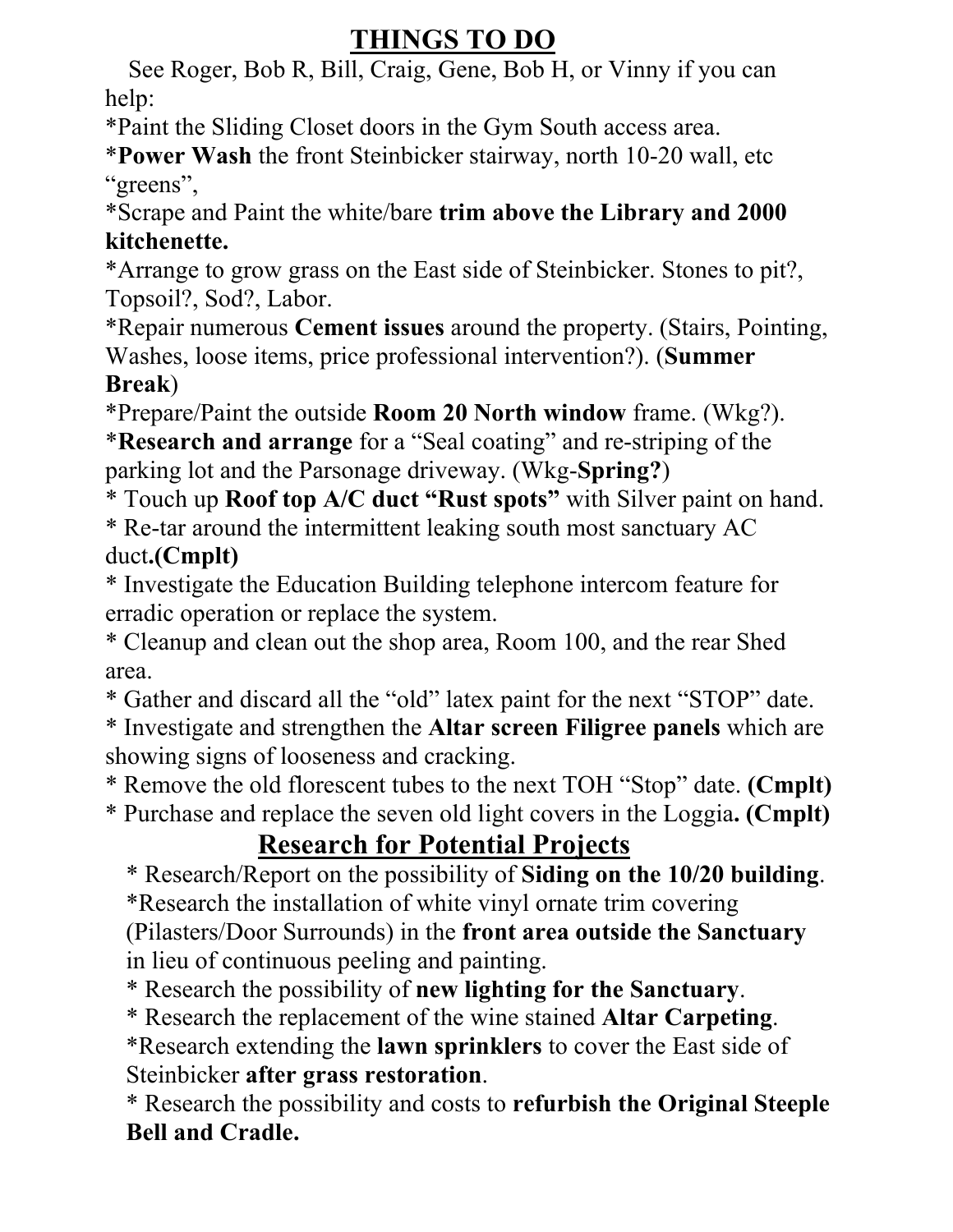# **THINGS TO DO**

 See Roger, Bob R, Bill, Craig, Gene, Bob H, or Vinny if you can help:

\*Paint the Sliding Closet doors in the Gym South access area.

\***Power Wash** the front Steinbicker stairway, north 10-20 wall, etc "greens",

\*Scrape and Paint the white/bare **trim above the Library and 2000 kitchenette.**

\*Arrange to grow grass on the East side of Steinbicker. Stones to pit?, Topsoil?, Sod?, Labor.

\*Repair numerous **Cement issues** around the property. (Stairs, Pointing, Washes, loose items, price professional intervention?). (**Summer Break**)

\*Prepare/Paint the outside **Room 20 North window** frame. (Wkg?).

\***Research and arrange** for a "Seal coating" and re-striping of the parking lot and the Parsonage driveway. (Wkg-**Spring?**)

\* Touch up **Roof top A/C duct "Rust spots"** with Silver paint on hand. \* Re-tar around the intermittent leaking south most sanctuary AC duct**.(Cmplt)**

\* Investigate the Education Building telephone intercom feature for erradic operation or replace the system.

\* Cleanup and clean out the shop area, Room 100, and the rear Shed area.

\* Gather and discard all the "old" latex paint for the next "STOP" date.

\* Investigate and strengthen the **Altar screen Filigree panels** which are showing signs of looseness and cracking.

\* Remove the old florescent tubes to the next TOH "Stop" date. **(Cmplt)**

\* Purchase and replace the seven old light covers in the Loggia**. (Cmplt)**

# **Research for Potential Projects**

\* Research/Report on the possibility of **Siding on the 10/20 building**. \*Research the installation of white vinyl ornate trim covering

(Pilasters/Door Surrounds) in the **front area outside the Sanctuary** in lieu of continuous peeling and painting.

\* Research the possibility of **new lighting for the Sanctuary**.

\* Research the replacement of the wine stained **Altar Carpeting**.

\*Research extending the **lawn sprinklers** to cover the East side of Steinbicker **after grass restoration**.

\* Research the possibility and costs to **refurbish the Original Steeple Bell and Cradle.**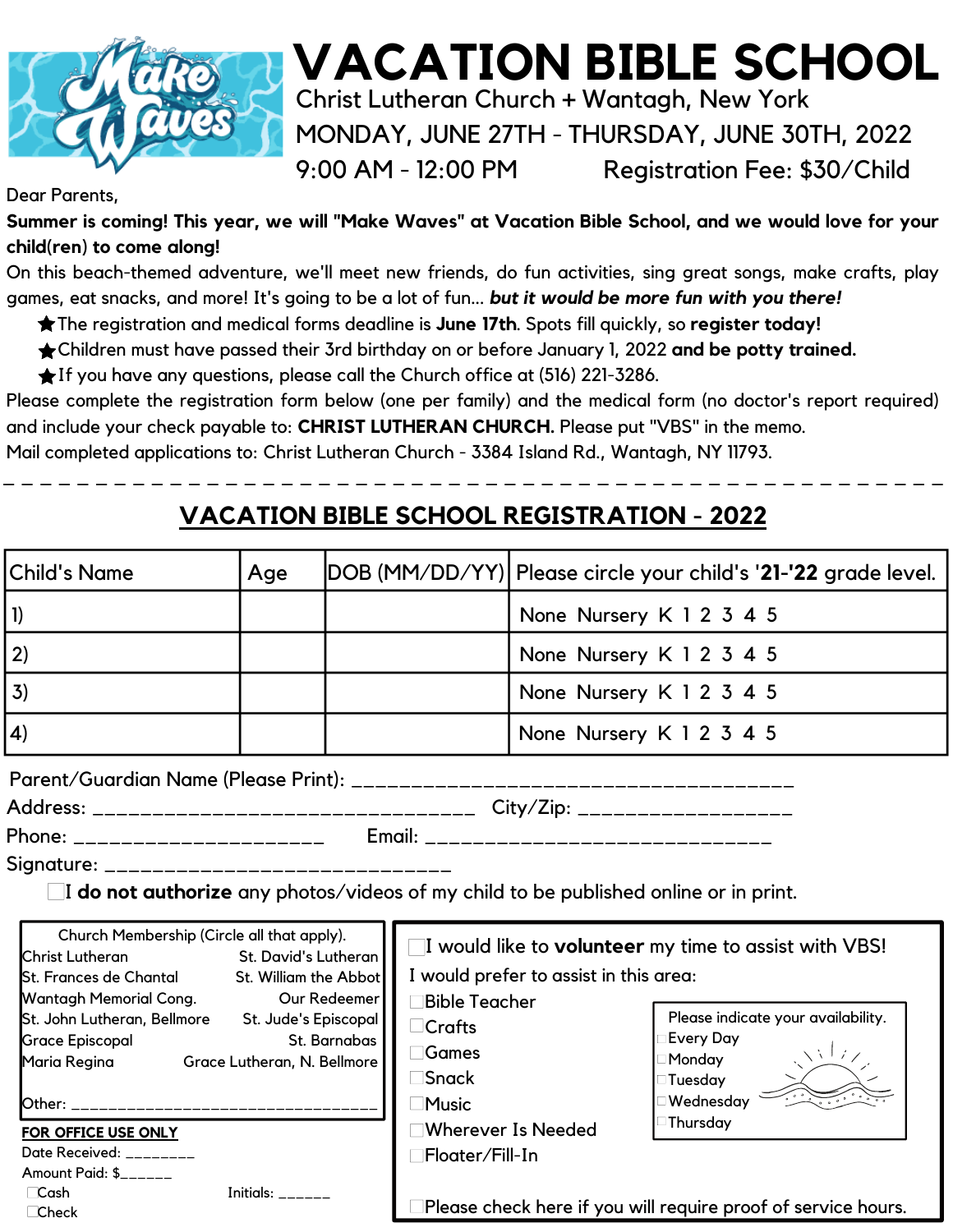

# **VACATION BIBLE SCHOOL** Christ Lutheran Church **+** Wantagh, New York MONDAY, JUNE 27TH - THURSDAY, JUNE 30TH, 2022

9:00 AM - 12:00 PM Registration Fee: \$30/Child

#### Dear Parents,

**Summer is coming! This year, we will "Make Waves" at Vacation Bible School, and we would love for your child(ren) to come along!**

On this beach-themed adventure, we'll meet new friends, do fun activities, sing great songs, make crafts, play games, eat snacks, and more! It's going to be a lot of fun... *but it would be more fun with you there!*

- The registration and medical forms deadline is **June 17th**. Spots fill quickly, so **register today!**
- Children must have passed their 3rd birthday on or before January 1, 2022 **and be potty trained.**
- If you have any questions, please call the Church office at (516) 221-3286.

Please complete the registration form below (one per family) and the medical form (no doctor's report required) and include your check payable to: **CHRIST LUTHERAN CHURCH.** Please put "VBS" in the memo.

Mail completed applications to: Christ Lutheran Church - 3384 Island Rd., Wantagh, NY 11793.

# **VACATION BIBLE SCHOOL REGISTRATION - 2022**

\_ \_ \_ \_ \_ \_ \_ \_ \_ \_ \_ \_ \_ \_ \_ \_ \_ \_ \_ \_ \_ \_ \_ \_ \_ \_ \_ \_ \_ \_ \_ \_ \_ \_ \_ \_ \_ \_ \_ \_ \_ \_ \_ \_ \_ \_ \_ \_ \_ \_ \_

| <b>Child's Name</b>                                                                  | Age                     |              |                         |                                        | DOB (MM/DD/YY)  Please circle your child's ' <b>21-'22</b> grade level.     |
|--------------------------------------------------------------------------------------|-------------------------|--------------|-------------------------|----------------------------------------|-----------------------------------------------------------------------------|
| $\mathbf{I}$                                                                         |                         |              |                         | None Nursery K 1 2 3 4 5               |                                                                             |
| 2)                                                                                   |                         |              |                         | None Nursery K 1 2 3 4 5               |                                                                             |
| 3)                                                                                   |                         |              |                         | None Nursery K 1 2 3 4 5               |                                                                             |
| 4)                                                                                   |                         |              |                         | None Nursery K 1 2 3 4 5               |                                                                             |
|                                                                                      |                         |              |                         |                                        |                                                                             |
|                                                                                      |                         |              |                         |                                        |                                                                             |
|                                                                                      |                         |              |                         |                                        |                                                                             |
|                                                                                      |                         |              |                         |                                        |                                                                             |
| I do not authorize any photos/videos of my child to be published online or in print. |                         |              |                         |                                        |                                                                             |
| Church Membership (Circle all that apply).<br>Christ Lutheran                        | St. David's Lutheran    |              |                         |                                        | $\blacksquare$ I would like to <b>volunteer</b> my time to assist with VBS! |
| St. Frances de Chantal St. William the Abbot                                         |                         |              |                         | I would prefer to assist in this area: |                                                                             |
| Wantagh Memorial Cong.                                                               |                         | Our Redeemer | <b>Bible Teacher</b>    |                                        |                                                                             |
| St. John Lutheran, Bellmore St. Jude's Episcopal                                     |                         |              | $\Box$ Crafts           |                                        | Please indicate your availability.                                          |
| <b>Grace Episcopal</b>                                                               |                         | St. Barnabas | <b>□Games</b>           |                                        | <b>Every Day</b>                                                            |
| Maria Regina Grace Lutheran, N. Bellmore                                             |                         |              | <b>□Snack</b>           |                                        |                                                                             |
|                                                                                      |                         |              | <b>Music</b>            |                                        | Monday<br>Tuesday<br>Wednesday                                              |
|                                                                                      |                         |              |                         |                                        | Thursday                                                                    |
| FOR OFFICE USE ONLY                                                                  |                         |              | □Wherever Is Needed     |                                        |                                                                             |
| Date Received: ________<br>Amount Paid: \$                                           |                         |              | <b>□Floater/Fill-In</b> |                                        |                                                                             |
| <b>Cash</b>                                                                          | Initials: $\frac{1}{1}$ |              |                         |                                        |                                                                             |
| $\Box$ Check                                                                         |                         |              |                         |                                        | Please check here if you will require proof of service hours.               |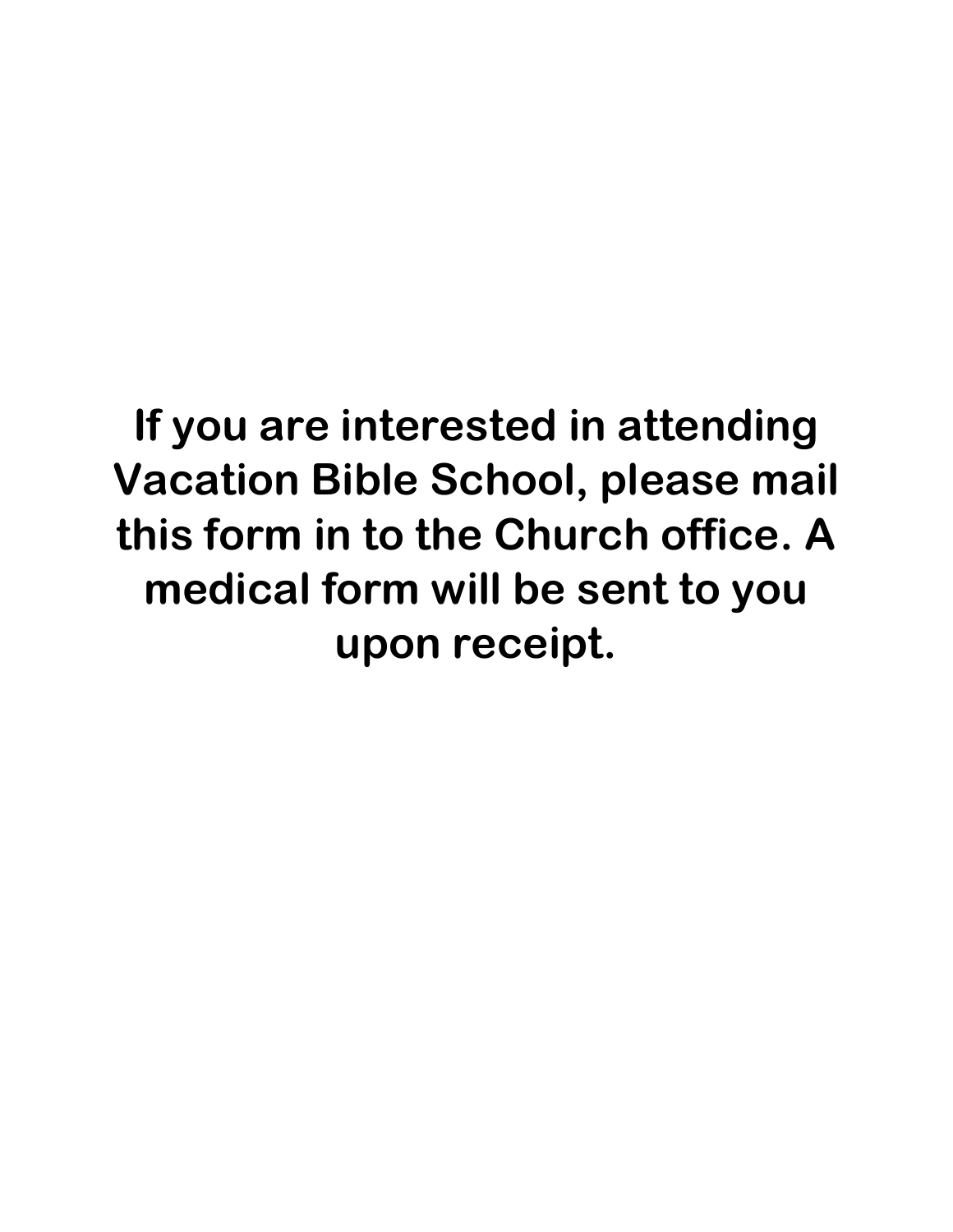# **If you are interested in attending Vacation Bible School, please mail this form in to the Church office. A medical form will be sent to you upon receipt.**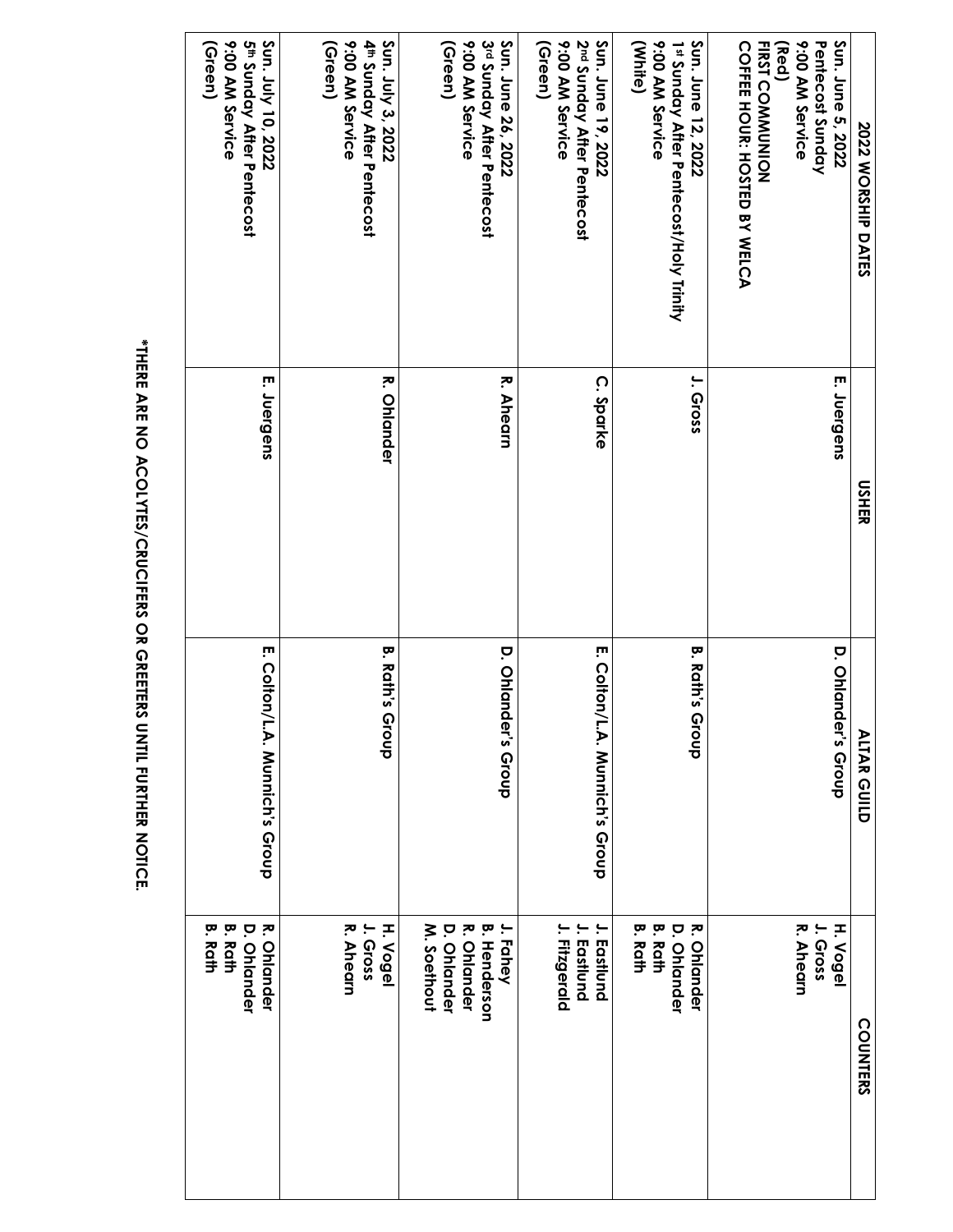| <b>2022 WORSHIP DATES</b>                                                                                                          | <b>USHER</b>       | <b>ALTAR GUILD</b>             | <b>COUNTERS</b>                                                                     |
|------------------------------------------------------------------------------------------------------------------------------------|--------------------|--------------------------------|-------------------------------------------------------------------------------------|
| Sun. June 5, 2022<br>9:00 AM Service<br>Pentecost Sunday<br><b>FIRST COMMUNION</b><br><b>COFFEE HOUR: HOSTED BY WELCA</b><br>(Red) | E. Juergens        | <b>D. Ohlande</b><br>r's Group | R. Ahearn<br>H. Vogel<br>I. Gross                                                   |
| Sun. June 12, 2022<br>9:00 AM Service<br>(White)<br>1st Sunday After Pentecost/Holy Trinity                                        | J. Gross           | <b>B. Rath's Group</b>         | <b>B. Rath</b><br>ᅎ<br><b>B. Rath</b><br><b>D. Ohlander</b><br><b>Ohlander</b>      |
| 2 <sup>nd</sup> Sunday After Pentecost<br>Sun. June 19, 2022<br>9:00 AM Service<br>(Green)                                         | C. Sparke          | E. Colton/L.A. Munich's Group  | J. Eastlund<br>I. Fitzgerald<br>. Eastlund                                          |
| 3rd Sunday After Pentecost<br>Sun. June 26, 2022<br>9:00 AM Service<br>(Green)                                                     | R. Ahearn          | <b>D. Ohlande</b><br>r's Group | M. Soethout<br><b>B. Henderson</b><br>J. Fahey<br><b>D. Ohlander</b><br>R. Ohlander |
| Sun. July 3, 2022<br>9:00 AM Service<br>4 <sup>th</sup> Sunday After Pentecost<br>(Green)                                          | <b>R. Ohlander</b> | <b>B. Rath's Group</b>         | R. Ahearn<br>H. Vogel<br>I. Gross                                                   |
| Sun. July 10, 2022<br>9:00 AM Service<br>5 <sup>th</sup> Sunday After Pentecost<br>(Green)                                         | E. Juergens        | E. Colton/L.A. Munich's Group  | <b>B. Rath</b><br>R. Ohlander<br><b>B. Rath</b><br><b>D. Ohlander</b>               |

\*THERE ARE NO ACOLYTES/CRUCIFERS OR GREETERS UNTIL FURTHER NOTICE. **\*THERE ARE NO ACOLYTES/CRUCIFERS OR GREETERS UNTIL FURTHER NOTICE.**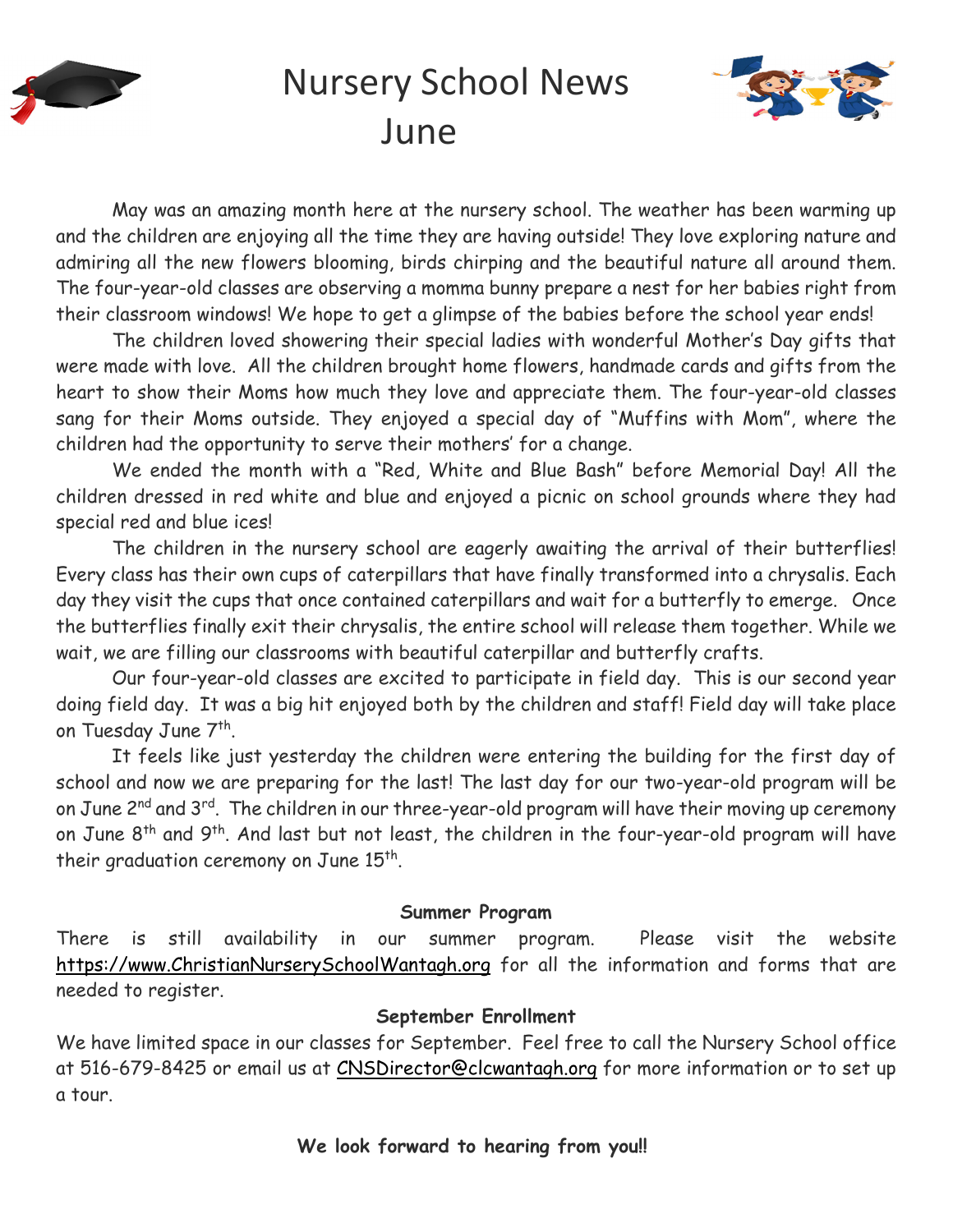

# Nursery School News June



May was an amazing month here at the nursery school. The weather has been warming up and the children are enjoying all the time they are having outside! They love exploring nature and admiring all the new flowers blooming, birds chirping and the beautiful nature all around them. The four-year-old classes are observing a momma bunny prepare a nest for her babies right from their classroom windows! We hope to get a glimpse of the babies before the school year ends!

The children loved showering their special ladies with wonderful Mother's Day gifts that were made with love. All the children brought home flowers, handmade cards and gifts from the heart to show their Moms how much they love and appreciate them. The four-year-old classes sang for their Moms outside. They enjoyed a special day of "Muffins with Mom", where the children had the opportunity to serve their mothers' for a change.

We ended the month with a "Red, White and Blue Bash" before Memorial Day! All the children dressed in red white and blue and enjoyed a picnic on school grounds where they had special red and blue ices!

The children in the nursery school are eagerly awaiting the arrival of their butterflies! Every class has their own cups of caterpillars that have finally transformed into a chrysalis. Each day they visit the cups that once contained caterpillars and wait for a butterfly to emerge. Once the butterflies finally exit their chrysalis, the entire school will release them together. While we wait, we are filling our classrooms with beautiful caterpillar and butterfly crafts.

Our four-year-old classes are excited to participate in field day. This is our second year doing field day. It was a big hit enjoyed both by the children and staff! Field day will take place on Tuesday June 7<sup>th</sup>.

It feels like just yesterday the children were entering the building for the first day of school and now we are preparing for the last! The last day for our two-year-old program will be on June 2<sup>nd</sup> and 3<sup>rd</sup>. The children in our three-year-old program will have their moving up ceremony on June 8<sup>th</sup> and 9<sup>th</sup>. And last but not least, the children in the four-year-old program will have their graduation ceremony on June 15<sup>th</sup>.

#### **Summer Program**

There is still availability in our summer program. Please visit the website https://www.ChristianNurserySchoolWantagh.org for all the information and forms that are needed to register.

#### **September Enrollment**

We have limited space in our classes for September. Feel free to call the Nursery School office at 516-679-8425 or email us at CNSDirector@clcwantagh.org for more information or to set up a tour.